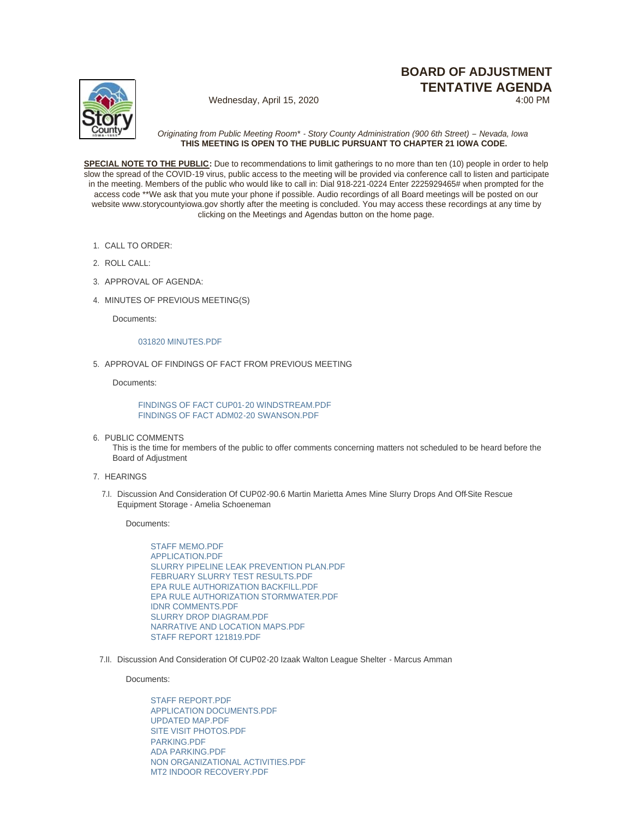# **BOARD OF ADJUSTMENT TENTATIVE AGENDA**



Wednesday, April 15, 2020

*Originating from Public Meeting Room\* - Story County Administration (900 6th Street) – Nevada, Iowa* **THIS MEETING IS OPEN TO THE PUBLIC PURSUANT TO CHAPTER 21 IOWA CODE.**

**SPECIAL NOTE TO THE PUBLIC:** Due to recommendations to limit gatherings to no more than ten (10) people in order to help slow the spread of the COVID-19 virus, public access to the meeting will be provided via conference call to listen and participate in the meeting. Members of the public who would like to call in: Dial 918-221-0224 Enter 2225929465# when prompted for the access code \*\*We ask that you mute your phone if possible. Audio recordings of all Board meetings will be posted on our website www.storycountyiowa.gov shortly after the meeting is concluded. You may access these recordings at any time by clicking on the Meetings and Agendas button on the home page.

- CALL TO ORDER: 1.
- ROLL CALL: 2.
- 3. APPROVAL OF AGENDA:
- MINUTES OF PREVIOUS MEETING(S) 4.

Documents:

## [031820 MINUTES.PDF](http://www.storycountyiowa.gov/AgendaCenter/ViewFile/Item/16870?fileID=13243)

5. APPROVAL OF FINDINGS OF FACT FROM PREVIOUS MEETING

Documents:

[FINDINGS OF FACT CUP01-20 WINDSTREAM.PDF](http://www.storycountyiowa.gov/AgendaCenter/ViewFile/Item/17282?fileID=13244) [FINDINGS OF FACT ADM02-20 SWANSON.PDF](http://www.storycountyiowa.gov/AgendaCenter/ViewFile/Item/17282?fileID=13245)

6. PUBLIC COMMENTS

This is the time for members of the public to offer comments concerning matters not scheduled to be heard before the Board of Adjustment

- 7. HEARINGS
	- 7.I. Discussion And Consideration Of CUP02-90.6 Martin Marietta Ames Mine Slurry Drops And Off-Site Rescue Equipment Storage - Amelia Schoeneman

Documents:

[STAFF MEMO.PDF](http://www.storycountyiowa.gov/AgendaCenter/ViewFile/Item/17280?fileID=13222) [APPLICATION.PDF](http://www.storycountyiowa.gov/AgendaCenter/ViewFile/Item/17280?fileID=13224) [SLURRY PIPELINE LEAK PREVENTION PLAN.PDF](http://www.storycountyiowa.gov/AgendaCenter/ViewFile/Item/17280?fileID=13229) [FEBRUARY SLURRY TEST RESULTS.PDF](http://www.storycountyiowa.gov/AgendaCenter/ViewFile/Item/17280?fileID=13230) [EPA RULE AUTHORIZATION BACKFILL.PDF](http://www.storycountyiowa.gov/AgendaCenter/ViewFile/Item/17280?fileID=13225) [EPA RULE AUTHORIZATION STORMWATER.PDF](http://www.storycountyiowa.gov/AgendaCenter/ViewFile/Item/17280?fileID=13231) [IDNR COMMENTS.PDF](http://www.storycountyiowa.gov/AgendaCenter/ViewFile/Item/17280?fileID=13226) [SLURRY DROP DIAGRAM.PDF](http://www.storycountyiowa.gov/AgendaCenter/ViewFile/Item/17280?fileID=13228) [NARRATIVE AND LOCATION MAPS.PDF](http://www.storycountyiowa.gov/AgendaCenter/ViewFile/Item/17280?fileID=13227) [STAFF REPORT 121819.PDF](http://www.storycountyiowa.gov/AgendaCenter/ViewFile/Item/17280?fileID=13223)

7.II. Discussion And Consideration Of CUP02-20 Izaak Walton League Shelter - Marcus Amman

Documents:

[STAFF REPORT.PDF](http://www.storycountyiowa.gov/AgendaCenter/ViewFile/Item/17281?fileID=13232) [APPLICATION DOCUMENTS.PDF](http://www.storycountyiowa.gov/AgendaCenter/ViewFile/Item/17281?fileID=13239) [UPDATED MAP.PDF](http://www.storycountyiowa.gov/AgendaCenter/ViewFile/Item/17281?fileID=13233) [SITE VISIT PHOTOS.PDF](http://www.storycountyiowa.gov/AgendaCenter/ViewFile/Item/17281?fileID=13234) [PARKING.PDF](http://www.storycountyiowa.gov/AgendaCenter/ViewFile/Item/17281?fileID=13235) [ADA PARKING.PDF](http://www.storycountyiowa.gov/AgendaCenter/ViewFile/Item/17281?fileID=13240) [NON ORGANIZATIONAL ACTIVITIES.PDF](http://www.storycountyiowa.gov/AgendaCenter/ViewFile/Item/17281?fileID=13236) [MT2 INDOOR RECOVERY.PDF](http://www.storycountyiowa.gov/AgendaCenter/ViewFile/Item/17281?fileID=13237)